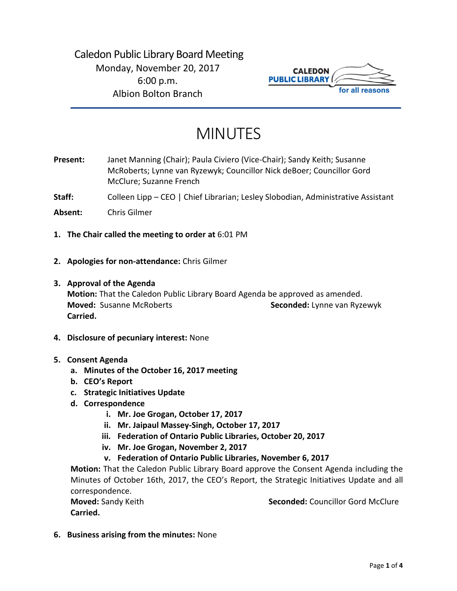

# MINUTES

**Present:** Janet Manning (Chair); Paula Civiero (Vice-Chair); Sandy Keith; Susanne McRoberts; Lynne van Ryzewyk; Councillor Nick deBoer; Councillor Gord McClure; Suzanne French

Staff: Colleen Lipp – CEO | Chief Librarian; Lesley Slobodian, Administrative Assistant

**Absent:** Chris Gilmer

- **1. The Chair called the meeting to order at** 6:01 PM
- **2. Apologies for non-attendance:** Chris Gilmer
- **3. Approval of the Agenda Motion:** That the Caledon Public Library Board Agenda be approved as amended. **Moved:** Susanne McRoberts **Seconded:** Lynne van Ryzewyk **Carried.**
- **4. Disclosure of pecuniary interest:** None
- **5. Consent Agenda**
	- **a. Minutes of the October 16, 2017 meeting**
	- **b. CEO's Report**
	- **c. Strategic Initiatives Update**
	- **d. Correspondence**
		- **i. Mr. Joe Grogan, October 17, 2017**
		- **ii. Mr. Jaipaul Massey-Singh, October 17, 2017**
		- **iii. Federation of Ontario Public Libraries, October 20, 2017**
		- **iv. Mr. Joe Grogan, November 2, 2017**
		- **v. Federation of Ontario Public Libraries, November 6, 2017**

**Motion:** That the Caledon Public Library Board approve the Consent Agenda including the Minutes of October 16th, 2017, the CEO's Report, the Strategic Initiatives Update and all correspondence.

**Carried.** 

**Moved:** Sandy Keith **Seconded:** Councillor Gord McClure

**6. Business arising from the minutes:** None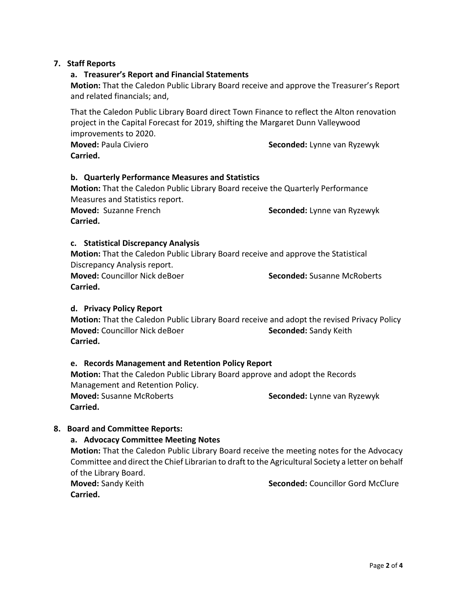# **7. Staff Reports**

#### **a. Treasurer's Report and Financial Statements**

**Motion:** That the Caledon Public Library Board receive and approve the Treasurer's Report and related financials; and,

That the Caledon Public Library Board direct Town Finance to reflect the Alton renovation project in the Capital Forecast for 2019, shifting the Margaret Dunn Valleywood improvements to 2020.

**Moved:** Paula Civiero **Seconded:** Lynne van Ryzewyk **Carried.**

### **b. Quarterly Performance Measures and Statistics**

**Motion:** That the Caledon Public Library Board receive the Quarterly Performance Measures and Statistics report.

**Carried.** 

**Moved:** Suzanne French **Seconded:** Lynne van Ryzewyk

### **c. Statistical Discrepancy Analysis**

**Motion:** That the Caledon Public Library Board receive and approve the Statistical Discrepancy Analysis report.

**Moved:** Councillor Nick deBoer **Seconded:** Susanne McRoberts **Carried.** 

### **d. Privacy Policy Report**

**Motion:** That the Caledon Public Library Board receive and adopt the revised Privacy Policy **Moved:** Councillor Nick deBoer **Seconded:** Sandy Keith **Carried.** 

### **e. Records Management and Retention Policy Report**

**Motion:** That the Caledon Public Library Board approve and adopt the Records Management and Retention Policy. **Moved:** Susanne McRoberts **Seconded:** Lynne van Ryzewyk  **Carried.** 

### **8. Board and Committee Reports:**

### **a. Advocacy Committee Meeting Notes**

**Motion:** That the Caledon Public Library Board receive the meeting notes for the Advocacy Committee and direct the Chief Librarian to draft to the Agricultural Society a letter on behalf of the Library Board.

**Carried.**

**Moved:** Sandy Keith **Seconded:** Councillor Gord McClure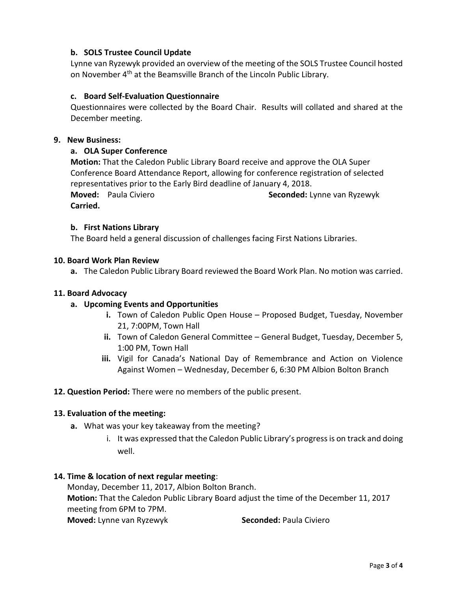# **b. SOLS Trustee Council Update**

Lynne van Ryzewyk provided an overview of the meeting of the SOLS Trustee Council hosted on November 4th at the Beamsville Branch of the Lincoln Public Library.

### **c. Board Self-Evaluation Questionnaire**

Questionnaires were collected by the Board Chair. Results will collated and shared at the December meeting.

#### **9. New Business:**

### **a. OLA Super Conference**

**Motion:** That the Caledon Public Library Board receive and approve the OLA Super Conference Board Attendance Report, allowing for conference registration of selected representatives prior to the Early Bird deadline of January 4, 2018. **Moved:** Paula Civiero **Seconded:** Lynne van Ryzewyk **Carried.** 

### **b. First Nations Library**

The Board held a general discussion of challenges facing First Nations Libraries.

#### **10. Board Work Plan Review**

**a.** The Caledon Public Library Board reviewed the Board Work Plan. No motion was carried.

#### **11. Board Advocacy**

### **a. Upcoming Events and Opportunities**

- **i.** Town of Caledon Public Open House Proposed Budget, Tuesday, November 21, 7:00PM, Town Hall
- **ii.** Town of Caledon General Committee General Budget, Tuesday, December 5, 1:00 PM, Town Hall
- **iii.** Vigil for Canada's National Day of Remembrance and Action on Violence Against Women – Wednesday, December 6, 6:30 PM Albion Bolton Branch

**12. Question Period:** There were no members of the public present.

### **13. Evaluation of the meeting:**

- **a.** What was your key takeaway from the meeting?
	- i. It was expressed that the Caledon Public Library's progress is on track and doing well.

### **14. Time & location of next regular meeting**:

Monday, December 11, 2017, Albion Bolton Branch. **Motion:** That the Caledon Public Library Board adjust the time of the December 11, 2017 meeting from 6PM to 7PM. **Moved:** Lynne van Ryzewyk **Seconded:** Paula Civiero